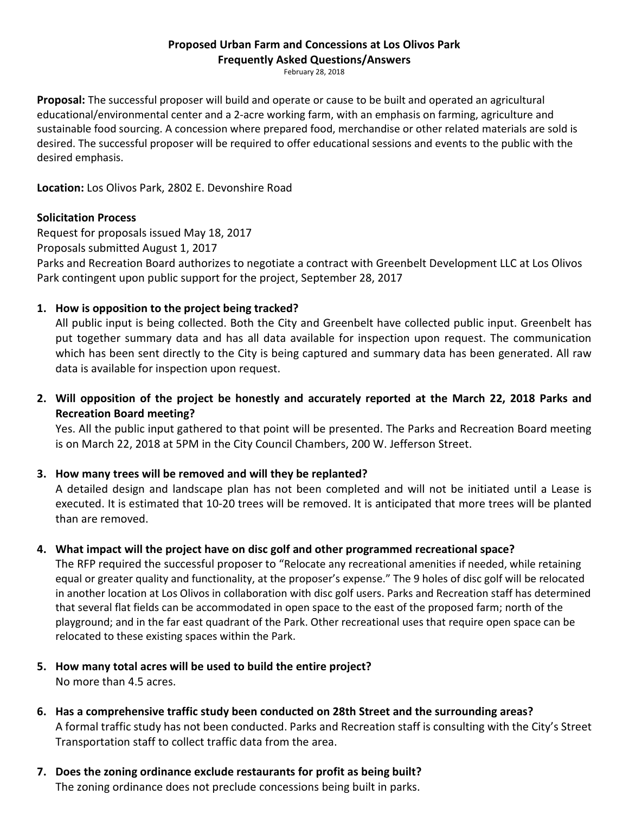# Proposed Urban Farm and Concessions at Los Olivos Park

Frequently Asked Questions/Answers

February 28, 2018

Proposal: The successful proposer will build and operate or cause to be built and operated an agricultural educational/environmental center and a 2-acre working farm, with an emphasis on farming, agriculture and sustainable food sourcing. A concession where prepared food, merchandise or other related materials are sold is desired. The successful proposer will be required to offer educational sessions and events to the public with the desired emphasis.

Location: Los Olivos Park, 2802 E. Devonshire Road

## Solicitation Process

Request for proposals issued May 18, 2017 Proposals submitted August 1, 2017 Parks and Recreation Board authorizes to negotiate a contract with Greenbelt Development LLC at Los Olivos Park contingent upon public support for the project, September 28, 2017

## 1. How is opposition to the project being tracked?

All public input is being collected. Both the City and Greenbelt have collected public input. Greenbelt has put together summary data and has all data available for inspection upon request. The communication which has been sent directly to the City is being captured and summary data has been generated. All raw data is available for inspection upon request.

2. Will opposition of the project be honestly and accurately reported at the March 22, 2018 Parks and Recreation Board meeting?

 Yes. All the public input gathered to that point will be presented. The Parks and Recreation Board meeting is on March 22, 2018 at 5PM in the City Council Chambers, 200 W. Jefferson Street.

## 3. How many trees will be removed and will they be replanted?

A detailed design and landscape plan has not been completed and will not be initiated until a Lease is executed. It is estimated that 10-20 trees will be removed. It is anticipated that more trees will be planted than are removed.

## 4. What impact will the project have on disc golf and other programmed recreational space?

The RFP required the successful proposer to "Relocate any recreational amenities if needed, while retaining equal or greater quality and functionality, at the proposer's expense." The 9 holes of disc golf will be relocated in another location at Los Olivos in collaboration with disc golf users. Parks and Recreation staff has determined that several flat fields can be accommodated in open space to the east of the proposed farm; north of the playground; and in the far east quadrant of the Park. Other recreational uses that require open space can be relocated to these existing spaces within the Park.

- 5. How many total acres will be used to build the entire project? No more than 4.5 acres.
- 6. Has a comprehensive traffic study been conducted on 28th Street and the surrounding areas? A formal traffic study has not been conducted. Parks and Recreation staff is consulting with the City's Street Transportation staff to collect traffic data from the area.
- 7. Does the zoning ordinance exclude restaurants for profit as being built? The zoning ordinance does not preclude concessions being built in parks.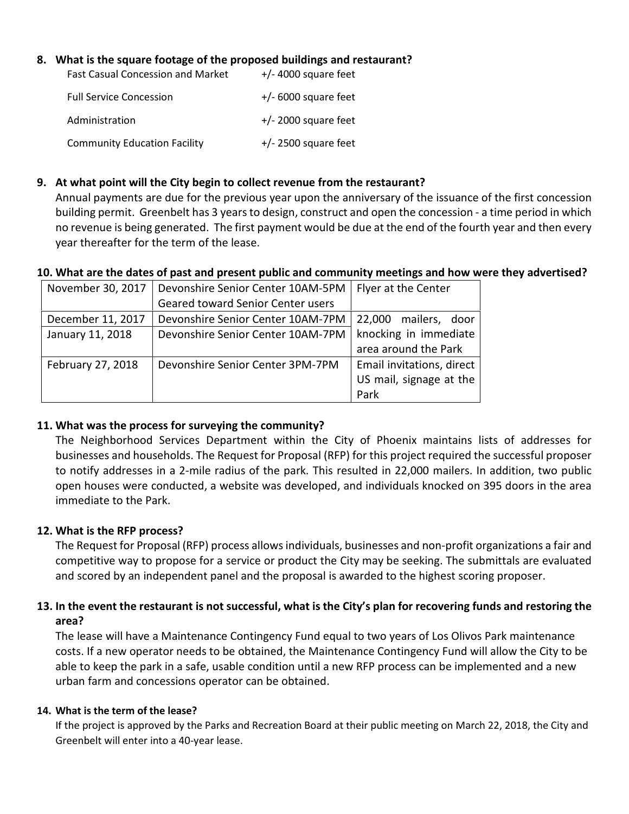## 8. What is the square footage of the proposed buildings and restaurant?

| <b>Fast Casual Concession and Market</b> | $+/-$ 4000 square feet |
|------------------------------------------|------------------------|
| <b>Full Service Concession</b>           | $+/- 6000$ square feet |
| Administration                           | $+/- 2000$ square feet |
| <b>Community Education Facility</b>      | $+/- 2500$ square feet |

### 9. At what point will the City begin to collect revenue from the restaurant?

Annual payments are due for the previous year upon the anniversary of the issuance of the first concession building permit. Greenbelt has 3 years to design, construct and open the concession - a time period in which no revenue is being generated. The first payment would be due at the end of the fourth year and then every year thereafter for the term of the lease.

#### 10. What are the dates of past and present public and community meetings and how were they advertised?

| November 30, 2017 | Devonshire Senior Center 10AM-5PM | Flyer at the Center       |
|-------------------|-----------------------------------|---------------------------|
|                   | Geared toward Senior Center users |                           |
| December 11, 2017 | Devonshire Senior Center 10AM-7PM | mailers, door<br>22,000   |
| January 11, 2018  | Devonshire Senior Center 10AM-7PM | knocking in immediate     |
|                   |                                   | area around the Park      |
| February 27, 2018 | Devonshire Senior Center 3PM-7PM  | Email invitations, direct |
|                   |                                   | US mail, signage at the   |
|                   |                                   | Park                      |

#### 11. What was the process for surveying the community?

The Neighborhood Services Department within the City of Phoenix maintains lists of addresses for businesses and households. The Request for Proposal (RFP) for this project required the successful proposer to notify addresses in a 2-mile radius of the park. This resulted in 22,000 mailers. In addition, two public open houses were conducted, a website was developed, and individuals knocked on 395 doors in the area immediate to the Park.

## 12. What is the RFP process?

The Request for Proposal (RFP) process allows individuals, businesses and non-profit organizations a fair and competitive way to propose for a service or product the City may be seeking. The submittals are evaluated and scored by an independent panel and the proposal is awarded to the highest scoring proposer.

## 13. In the event the restaurant is not successful, what is the City's plan for recovering funds and restoring the area?

The lease will have a Maintenance Contingency Fund equal to two years of Los Olivos Park maintenance costs. If a new operator needs to be obtained, the Maintenance Contingency Fund will allow the City to be able to keep the park in a safe, usable condition until a new RFP process can be implemented and a new urban farm and concessions operator can be obtained.

#### 14. What is the term of the lease?

If the project is approved by the Parks and Recreation Board at their public meeting on March 22, 2018, the City and Greenbelt will enter into a 40-year lease.